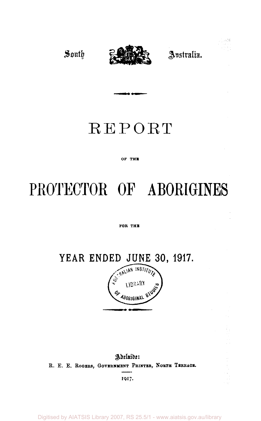

Australia.

, justa

## REPORT

**» • I —** 

#### OF THE

# **PROTECTOR OF ABORIGINES**

#### FOR THE

**YEAR ENDED JUNE 30, 1917.** 



Adelaide: **R. E. E. ROGERS, GOVERNMENT PRINTER, NORTH TERRACE.** 

**1917**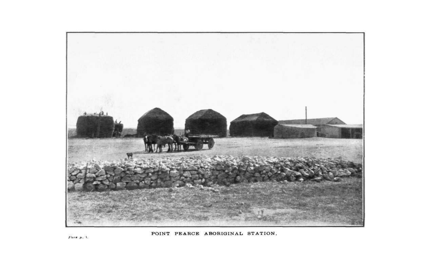

POINT PEARCE ABORIGINAL STATION,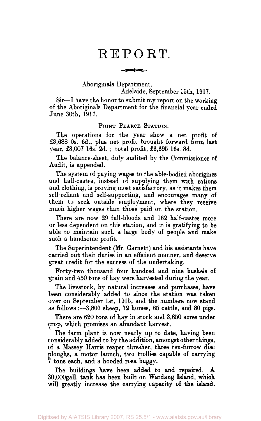### REPORT.

 $-1$  and  $-$ 

Aboriginals Department,

Adelaide, September 15th, 1917.

Sir-—1 have the honor to submit my report on the working of the Aboriginals Department for the financial year ended June 30th, 1917.

#### POINT PEARCE STATION.

The operations for the year show a net profit of £3,688 0s. 6d., plus net profit brought forward form last year, £3,007 16s. 2d. ; total profit, £6,695 16s. 8d.

The balance-sheet, duly audited by the Commissioner of Audit, is appended.

The system of paying wages to the able-bodied aborigines and half-castes, instead of supplying them with rations and clothing, is proving most satisfactory, as it makes them self-reliant and self-supporting, and encourages many of them to seek outside employment, where they receive much higher wages than those paid on the station.

There are now 29 full-bloods and 162 half-castes more or less dependent on this station, and it is gratifying to be able to maintain such a large body of people and make such a handsome profit.

The Superintendent (Mr. Garnett) and his assistants have carried out their duties in an efficient manner, and deserve great credit for the success of the undertaking.

Forty-two thousand four hundred and nine bushels of grain and 450 tons of hay were harvested during the year.

The livestock, by natural increases and purchases, have been considerably added to since the station was taken over on September 1st, 1915, and the numbers now stand as follows:—3,807 sheep, 72 horses, 65 cattle, and 80 pigs.

There are 620 tons of hay in stock and 3,650 acres under crop, which promises an abundant harvest.

The farm plant is now nearly up to date, having been considerably added to by the addition, amongst other things, of a Massey Harris reaper thresher, three ten-furrow disc ploughs, a motor launch, two trollies capable of carrying 7 tons each, and a hooded rosa buggy.

The buildings have been added to and repaired. A 30,000gall. tank has been built on Wardang Island, which will greatly increase the carrying capacity of the island.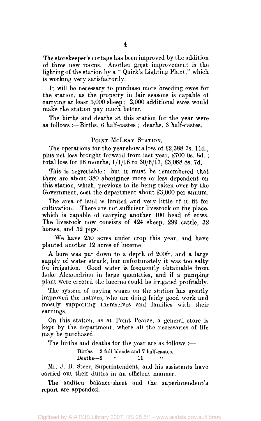The storekeeper's cottage has been improved by the addition of three new rooms. Another great improvement is the lighting of the station by a " Quirk's Lighting Plant," which is working very satisfactorily.

It will be necessary to purchase more breeding ewes for the station, as the property in fair seasons is capable of carrying at least 5,000 sheep ; 2,000 additional ewes would make the station pay much better.

The births and deaths at this station for the year were as follows :—Births, 6 half-castes ; deaths, 3 half-castes.

#### POINT MCLEAY STATION.

The operations for the year show a loss of £2,388 7s. 11d., plus net loss brought forward from last year, £700 0s. 8d. ; total loss for 18 months, 1/1/16 to 30/6/17, £3,088 8s. 7d.

This is regrettable ; but it must be remembered that there are about 380 aborigines more or less dependent on this station, which, previous to its being taken over by the Government, cost the department about £3,000 per annum.

The area of land is limited and very little of it fit for cultivation. There are not sufficient livestock on the place, which is capable of carrying another 100 head of cows. The livestock now consists of 424 sheep, 299 cattle, 32 horses, and 52 pigs.

We have 250 acres under crop this year, and have planted another 12 acres of lucerne.

A bore was put down to a depth of 200ft. and a large supply of water struck, but unfortunately it was too salty for irrigation. Good water is frequently obtainable from Lake Alexandrina in large quantities, and if a pumping plant were erected the lucerne could be irrigated profitably.

The system of paying wages on the station has greatly improved the natives, who are doing fairly good work and mostly supporting themselves and families with their earnings.

On this station, as at. Point Pearce, a general store is kept by the department, where all the necessaries of life may be purchased.

The births and deaths for the year are as follows :—

Births— 2 full bloods and 7 half-castes.

Deaths—6 " 11

Mr. J. B. Steer, Superintendent, and his assistants have carried out their duties in an efficient manner.

The audited balance-sheet and the superintendent's report are appended.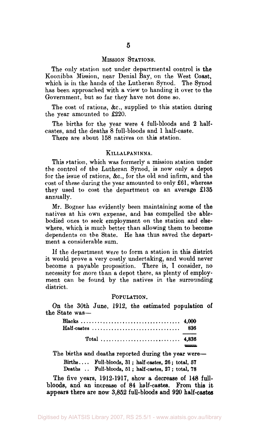#### MISSION STATIONS.

The only station not under departmental control is the Koonibba Mission, near Denial Bay, on the West Coast, which is in the hands of the Lutheran Synod. The Synod has been approached with a view to handing it over to the Government, but so far they have not done so.

The cost of rations, &c, supplied to this station during the year amounted to £220.

The births for the year were 4 full-bloods and 2 halfcastes, and the deaths 8 full-bloods and 1 half-caste.

There are about 158 natives on this station.

#### **KlLLALPANINNA.**

This station, which was formerly a mission station under the control of the Lutheran Synod, is now only a depot for the issue of rations, &c, for the old and infirm, and the cost of these during the year amounted to only £61, whereas they used to cost the department on an average £135 annually.

Mr. Bogner has evidently been maintaining some of the natives at his own expense, and has compelled the ablebodied ones to seek employment on the station and elsewhere, which is much better than allowing them to become dependents on the State. He has thus saved the department a considerable sum.

If the department were to form a station in this district it would prove a very costly undertaking, and would never become a payable proposition. There is, I consider, no necessity for more than a depot there, as plenty of employment can be found by the natives in the surrounding district.

#### POPULATION.

On the 30th June, 1912, the estimated population of the State was—

| Total  4,836 |  |
|--------------|--|

The births and deaths reported during the year were—

Births.... Full-bloods,  $31$ ; half-castes,  $26$ ; total,  $57$ Deaths .. Full-bloods, 51 ; half-castes, 27 ; total, 78

The five years, 1912-1917, show a decrease of 148 fullbloods, and an increase of 84 half-castes. From this it appears there are now 3,852 full-bloods and 920 half-castes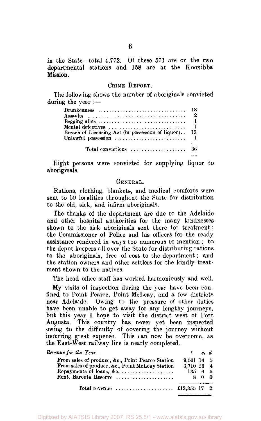in the State—total 4,772. Of these 571 are on the two departmental stations and 158 are at the Koonibba **Mission** 

#### CRIME REPORT.

The following shows the number of aboriginals convicted during the year :—

| Drunkenness  18                                                            |    |
|----------------------------------------------------------------------------|----|
|                                                                            |    |
|                                                                            |    |
| Mental defectives $\ldots, \ldots, \ldots, \ldots, \ldots, \ldots, \ldots$ |    |
| Breach of Licensing Act (in possession of liquor)                          | 13 |
| Unlawful possession $\ldots, \ldots, \ldots, \ldots, \ldots, \ldots$       |    |
|                                                                            |    |

Eight persons were convicted for supplying liquor to aboriginals.

#### GENERAL.

Rations, clothing, blankets, and medical comforts were sent to 50 localities throughout the State for distribution to the old, sick, and infirm aboriginals.

The thanks of the department are due to the Adelaide and other hospital authorities for the many kindnesses shown to the sick aboriginals sent there for treatment; the Commissioner of Police and his officers for the ready assistance rendered in ways too numerous to mention ; to the depot keepers all over the State for distributing rations to the aboriginals, free of cost to the department; and the station owners and other settlers for the kindly treatment shown to the natives.

The head office staff has worked harmoniously and well.

My visits of inspection during the year have been confined to Point Pearce, Point McLeay, and a few districts near Adelaide. Owing to the pressure of other duties have been unable to get away for any lengthy journeys, but this year I hope to visit the district west of Port Augusta. This country has never yet been inspected owing to the difficulty of covering the journey without incurring great expense. This can now be overcome, as the East-West railway line is nearly completed.

| Revenue for the Year-                                               |            | $i$ $s$ , $d$ . |  |
|---------------------------------------------------------------------|------------|-----------------|--|
| From sales of produce, &c., Point Pearce Station                    | 9.501 14 5 |                 |  |
| From sales of produce, &c., Point McLeay Station                    | 3.710 16 4 |                 |  |
| Repayments of loans, &c.                                            | 135 6 5    |                 |  |
| Rent. Baroota Reserve                                               |            | 800             |  |
| Total revenue $\ldots, \ldots, \ldots, \ldots, \text{13.355 } 17$ 2 |            |                 |  |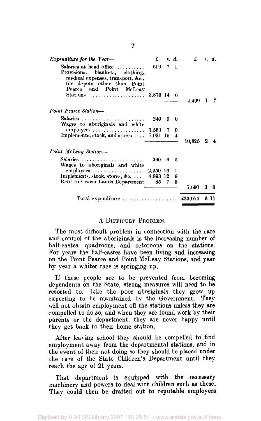| <i>Expenditure for the Year</i> —                                                                                                              | £        |          | s. d. | $f \cdot d$ . |    |            |
|------------------------------------------------------------------------------------------------------------------------------------------------|----------|----------|-------|---------------|----|------------|
| Salaries at head office $\ldots \ldots$<br>Provisions, blankets, clothing,<br>medical expenses, transport, &c.,<br>for depots other than Point | 619 -    |          | 7 1   |               |    |            |
| Pearce and Point McLeay<br>Stations  3,879 14 6                                                                                                |          |          |       | 4.499         |    |            |
| Point Pearce Station-                                                                                                                          |          |          |       |               |    |            |
| Salaries<br>Wages to aboriginals and white                                                                                                     | 240      | $\bf{0}$ | - 0   |               |    |            |
|                                                                                                                                                |          |          |       |               |    |            |
| Implements, stock, and stores $\ldots$ 7,021 15 4                                                                                              |          |          |       | 10.825        | z. |            |
| Point McLeay Station-                                                                                                                          |          |          |       |               |    |            |
| Salaries<br>Wages to aboriginals and white                                                                                                     | 360 6 5  |          |       |               |    |            |
| employees                                                                                                                                      | 2,250 16 |          | 1     |               |    |            |
| Implements, stock, stores, &c                                                                                                                  | 4,993 12 |          | 9     |               |    |            |
| Rent to Crown Lands Department                                                                                                                 |          | 85. 7    | 9     |               |    |            |
|                                                                                                                                                |          |          |       | 7,690         |    | $3\quad 0$ |
| Total expenditure $\ldots \ldots \ldots \ldots \ldots \ldots$                                                                                  |          |          |       | £23.014       |    | 6 11       |

#### A DIFFICULT PROBLEM.

The most difficult problem in connection with the care and control of the aboriginals is the increasing number of half-castes, quadroons, and octoroons on the stations. For years the half-castes have been living and increasing on the Point Pearce and Point McLeay Stations, and year by year a whiter race is springing up.

If these people are to be prevented from becoming dependents on the State, strong measures will need to be resorted to. Like the poor aboriginals they grow up expecting to be maintained by the Government. They will not obtain employment off the stations unless they are compelled to do so, and when they are found work by their parents or the department, they are never happy until they get back to their home station.

After leaving school they should be compelled to find employment away from the departmental stations, and in the event of their not doing so they should be placed under the care of the State Children's Department until they reach the age of 21 years.

That department is equipped with the necessary machinery and powers to deal with children such as these. They could then be drafted out to reputable employers

**7**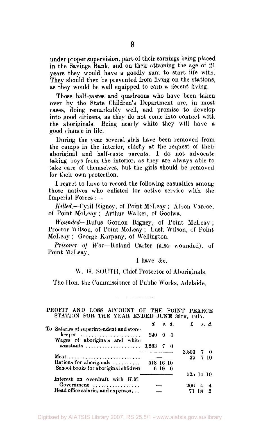under proper supervision, part of their earnings being placed in the Savings Bank, and on their attaining the age of 21 years they would have a goodly sum to start life with. They should then be prevented from living on the stations, as they would be well equipped to earn a decent living.

Those half-castes and quadroons who have been taken over by the State Children's Department are, in most cases, doing remarkably well, and promise to develop into good citizens, as they do not come into contact with the aboriginals. Being nearly white they will have a good chance in life.

During the year several girls have been removed from the camps in the interior, chiefly at the request of their aboriginal and half-caste parents. I do not advocate taking boys from the interior, as they are always able to take care of themselves, but the girls should be removed for their own protection.

I regret to have to record the following casualties among those natives who enlisted for active service with the Imperial Forces :—

*Killed.*—Cyril Rigney, of Point McLeay ; Albon Yarcoe, of Point McLeay ; Arthur Walkei, of Goolwa.

*Wounded*—Rufus Gordon Rigney, of Point McLeay ; Proctor Wilson, of Point McLeay ; Lush Wilson, of Point McLeay ; George Karpany, of Wellington.

*Prisoner of War*—Roland Carter (also wounded), of Point McLeay.

I have &c.

#### \\ . (J. SOUTH, Chief Protector of Aboriginals.

The Hon. the Commissioner of Public Works, Adelaide.

#### PROFIT AND LOSS ACCOUNT OF THE POINT PEARCE STATION FOR THE YEAR ENDED JUNE 30TH, 1917.

|                                                    | £.                                                                                                                                                                                             |  |                                                                 |   |   |                                                                      |
|----------------------------------------------------|------------------------------------------------------------------------------------------------------------------------------------------------------------------------------------------------|--|-----------------------------------------------------------------|---|---|----------------------------------------------------------------------|
| $keeper \dots \dots \dots \dots \dots \dots \dots$ |                                                                                                                                                                                                |  |                                                                 |   |   |                                                                      |
|                                                    |                                                                                                                                                                                                |  |                                                                 |   |   |                                                                      |
|                                                    |                                                                                                                                                                                                |  |                                                                 |   |   |                                                                      |
|                                                    |                                                                                                                                                                                                |  |                                                                 |   |   |                                                                      |
|                                                    |                                                                                                                                                                                                |  |                                                                 |   |   |                                                                      |
| School books for aboriginal children               |                                                                                                                                                                                                |  |                                                                 |   |   |                                                                      |
|                                                    |                                                                                                                                                                                                |  |                                                                 |   |   |                                                                      |
| Government                                         |                                                                                                                                                                                                |  | 206                                                             | 4 |   |                                                                      |
|                                                    |                                                                                                                                                                                                |  |                                                                 |   | 9 |                                                                      |
|                                                    | To Salaries of superintendent and store-<br>Wages of aboriginals and white<br>Meat<br>Rations for aboriginals $\ldots$<br>Interest on overdraft with H.M.<br>Head office salaries and expenses |  | $\mathbf{s} \cdot \mathbf{d}$ .<br>240 0 0<br>518 16 10<br>6190 |   |   | $\mathbf{f}$ s.d.<br>$3.803 \quad 7 \quad 0$<br>25 7 10<br>525 15 10 |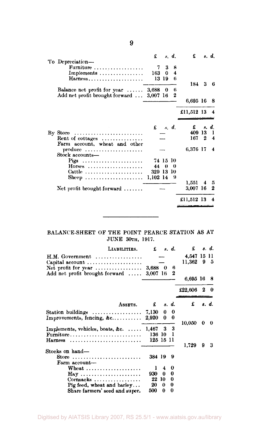|                                                           | £         |                            | s. d.  | £          |                  | s. d.          |
|-----------------------------------------------------------|-----------|----------------------------|--------|------------|------------------|----------------|
| To Depreciation-                                          | 7         | 3                          | 8      |            |                  |                |
| Furniture                                                 |           |                            |        |            |                  |                |
| Implements                                                | 163       | 0                          | 4<br>6 |            |                  |                |
| Harness                                                   |           | 13 19                      |        | 184        | 3                | - 6            |
|                                                           |           |                            | 6      |            |                  |                |
| Balance net profit for year $\dots$                       | $3,688$ 0 |                            | 2      |            |                  |                |
| Add net profit brought forward                            | 3,007 16  |                            |        | 6,695 16   |                  | - 8            |
|                                                           |           |                            |        |            |                  |                |
|                                                           |           |                            |        | £11,512 13 |                  |                |
|                                                           |           |                            |        |            |                  |                |
|                                                           |           | $\pounds$ $\kappa$ , $d$ , |        | £          |                  | s. d.          |
| By Store                                                  |           |                            |        | 409 13     |                  | L              |
| Rent of cottages                                          |           |                            |        | 167        | $\boldsymbol{2}$ | $\overline{4}$ |
| Farm account, wheat and other                             |           |                            |        |            |                  |                |
| produce                                                   |           |                            |        | 6,376 17   |                  | 4              |
| Stock accounts-                                           |           |                            |        |            |                  |                |
| Pigs                                                      |           | 74 15 10                   |        |            |                  |                |
| Horses                                                    | 44        | $\theta$                   | 0      |            |                  |                |
| Cattle $\ldots \ldots \ldots \ldots \ldots \ldots \ldots$ | 329 13 10 |                            |        |            |                  |                |
| Sheep                                                     | 1,102 14  |                            | - 91   |            |                  |                |
|                                                           |           |                            |        | 1,551      | 4                | 5              |
| Net profit brought forward $\ldots \ldots$                |           |                            |        | 3,007 16   |                  | 2              |
|                                                           |           |                            |        |            |                  |                |
|                                                           |           |                            |        | £11,512 13 |                  |                |
|                                                           |           |                            |        |            |                  |                |

#### BALANCE-SHEET OF THE POINT PEARCE STATION AS AT JUNE 30TH, 1917.

 $\overline{\phantom{a}}$ 

| LIABILITIES.                                                                                                  | £                            |         | s. d.         | £                  |   | s. d.    |
|---------------------------------------------------------------------------------------------------------------|------------------------------|---------|---------------|--------------------|---|----------|
| $H.M. Government \dots \dots \dots \dots \dots \dots$<br>Capital account $\ldots \ldots \ldots \ldots \ldots$ |                              |         |               | 4,547 15<br>11,362 | 9 | 11<br>-5 |
| Net profit for year $\dots\dots\dots\dots\dots$<br>Add net profit brought forward $\ldots$                    | $3,688$ 0<br>3,007 16        |         | 6<br>2        |                    |   |          |
|                                                                                                               |                              |         |               | 6.695 16           |   | -8       |
|                                                                                                               |                              |         |               | £22,606            | 2 | 0        |
| ASSETS.                                                                                                       | £                            |         | s. d.         | £                  |   | s. d.    |
| Improvements, fencing, $\&c \ldots \ldots \ldots$                                                             | 7.130<br>2,920               | 0<br>0  | 0<br>0        | 10,050             | 0 | 0        |
| Implements, vehicles, boats, &c.<br>Furniture                                                                 | 1.467<br>136 10<br>125 15 11 | 3.      | 3<br>-1       |                    |   |          |
| Harness                                                                                                       |                              |         |               | 1,729              | 9 | 3        |
| Stocks on hand-<br>Store<br>Farm account-                                                                     | 384 19                       |         | 9             |                    |   |          |
| Wheat $\ldots$<br><b>Hay </b>                                                                                 | ı<br>930                     | 4<br>0  | 0<br>0        |                    |   |          |
| $Cormsacks$ ,<br>Pig feed, wheat and barley                                                                   | 22<br>20                     | 10<br>0 | $\bf{0}$<br>0 |                    |   |          |
| Share farmers' seed and super.                                                                                | 500                          | 0       | 0             |                    |   |          |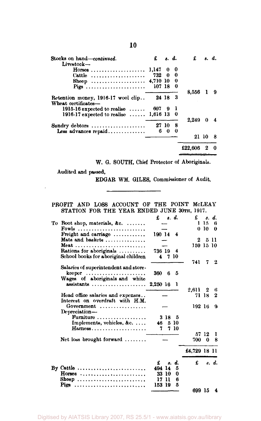| Stocks on hand-continued.                                 | £        |       | s. d.    | £       |       | s. d. |
|-----------------------------------------------------------|----------|-------|----------|---------|-------|-------|
| Livestock-<br>$H$ orses                                   | 1.147    | 0     | 0        |         |       |       |
| Cattle $\dots\dots\dots\dots\dots\dots\dots$              | 732 0 0  |       |          |         |       |       |
| Sheep                                                     | 4.710 10 |       | - 0      |         |       |       |
| Pigs                                                      | 107 18   |       | 0        |         |       |       |
|                                                           |          |       |          | 8,556   |       | 9     |
| Retention money, 1916-17 wool clip<br>Wheat certificates- |          |       | 24 18 3  |         |       |       |
| $1915.16$ expected to realise $\dots$ .                   | 607.     |       |          |         |       |       |
| 1916-17 expected to realise  1,616 13 0                   |          |       |          |         |       |       |
|                                                           |          |       |          | 2.249   | 0     |       |
| Sundry debtors                                            |          | 27 10 | - 8      |         |       |       |
| Less advances repaid                                      | 6        | 0     | $\theta$ |         |       |       |
|                                                           |          |       |          |         | 21 10 |       |
|                                                           |          |       |          | £22.606 |       | Ω     |

W. G. SOUTH, Chief Protector of Aboriginals.

Audited and passed,

 $\bar{\bar{z}}$ 

EDGAR WM. GILES, Commissioner of Audit.

PROFIT AND LOSS ACCOUNT OF THE POINT MCLEAY STATION FOR THE YEAR ENDED JUNE 30TH, 1917.

|    |                                                             | £<br>s. d.      | £            |          | s. d.    |
|----|-------------------------------------------------------------|-----------------|--------------|----------|----------|
| Tо | Boot shop, materials, $\&c. \ldots$                         |                 | п            | 15.      | ß        |
|    | Fowls                                                       |                 | $\theta$     | -10      | 0        |
|    | Freight and carriage $\ldots \ldots \ldots$                 | 190 14 4        |              |          |          |
|    | Mats and baskets                                            |                 | 2            | 5        | -11      |
|    | Meat                                                        |                 | 159 15 10    |          |          |
|    | Rations for aboriginals $\ldots \ldots \ldots$              | 736 19<br>- 4   |              |          |          |
|    | School books for aboriginal children                        | -7-10<br>4      |              |          |          |
|    |                                                             |                 | 741          | 7        | 2        |
|    | Salaries of superintendent and store-                       |                 |              |          |          |
|    | $keeper \dots \dots \dots \dots \dots \dots \dots$          | 5<br>360<br>6   |              |          |          |
|    | Wages of aboriginals and white                              |                 |              |          |          |
|    | $\alpha$ ssistants $\cdots \cdots \cdots \cdots \cdots$     | 2.250 16<br>-1  |              |          |          |
|    |                                                             |                 | 2.611        | - 2      | 6        |
|    | Head office salaries and expenses                           |                 | 71 18        |          | $\bf{2}$ |
|    | Interest on overdraft with H.M.                             |                 |              |          |          |
|    | Government                                                  |                 | 192 16       |          | 9        |
|    | Depreciation-                                               |                 |              |          |          |
|    | Furniture $\ldots \ldots \ldots \ldots \ldots$              |                 |              |          |          |
|    |                                                             | 318<br>5        |              |          |          |
|    | Implements, vehicles, &c.                                   | 5 10<br>46.     |              |          |          |
|    | Harness                                                     | 7 10<br>7       |              |          |          |
|    |                                                             |                 | 57           | 12       | T        |
|    | Net loss brought forward $\ldots \ldots$                    |                 | 700          | $\Omega$ | 8        |
|    |                                                             |                 | £4,729 18 11 |          |          |
|    |                                                             |                 |              |          |          |
|    |                                                             | £<br>d.<br>я.   | £            |          | s. d.    |
|    | By Cattle $\dots \dots \dots \dots \dots \dots \dots \dots$ | 494.<br>14<br>ñ |              |          |          |
|    | $\text{Horses}$                                             | 0<br>33<br>-10  |              |          |          |
|    | Sheep                                                       | 11<br>17<br>6   |              |          |          |
|    | Pigs                                                        | 153 19<br>5     |              |          |          |
|    |                                                             |                 | 699 15       |          | 4        |

**10**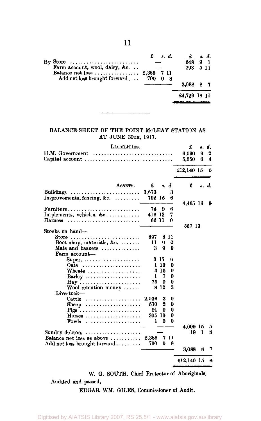|                                    |  | 648          | 9 |       |  |  |
|------------------------------------|--|--------------|---|-------|--|--|
| Farm account, wool, dairy, &c.     |  | 293          |   | 5 1 1 |  |  |
|                                    |  |              |   |       |  |  |
| Add net loss brought forward 700 0 |  |              |   |       |  |  |
|                                    |  | 3.088        |   |       |  |  |
|                                    |  | £4,729 18 11 |   |       |  |  |
|                                    |  |              |   |       |  |  |

#### BALANCE-SHEET OF THE POINT McLEAY STATION AS AT JUNE 30TH, 1917.

| LIABILITIES.                                                                                                 | £              |        | s. d.  |
|--------------------------------------------------------------------------------------------------------------|----------------|--------|--------|
| H.M. Government                                                                                              | 6,590<br>5,550 | 9<br>6 | 2<br>4 |
|                                                                                                              | £12,140 15     |        | 6      |
| ASSETS.<br>£<br>s. d.                                                                                        | £              |        | s. d.  |
| 3<br>Buildings<br>3,673<br>6<br>Improvements, fencing, &c. $\dots\dots\dots$<br>792 15                       |                |        |        |
| 74<br>9<br>в<br>Furniture                                                                                    | 4,465 16       |        | 9      |
| Implements, vehicles, &c.<br>416 12<br>7<br>66 11<br>0<br>Harness                                            |                |        |        |
|                                                                                                              | 557 13         |        |        |
| Stocks on hand---<br>897<br>8 H<br>Store                                                                     |                |        |        |
| Boot shop, materials, &c. $\ldots$<br>11<br>↔<br>0<br>9<br>9<br>3<br>Mats and baskets $\dots\dots\dots\dots$ |                |        |        |
| Farm account-<br>317<br>В                                                                                    |                |        |        |
| Super. $\dots\dots\dots\dots\dots\dots\dots\dots$<br>110<br>Oats<br>0                                        |                |        |        |
| 3 15<br>Wheats $\ldots \ldots \ldots \ldots \ldots$<br>o                                                     |                |        |        |
| 7<br>0<br>ı<br>$Barlev \dots \dots \dots \dots \dots \dots \dots$                                            |                |        |        |
| 0<br>75<br>0                                                                                                 |                |        |        |
| 812<br>3<br>Wool retention money $\ldots \ldots$                                                             |                |        |        |
| Livestock-                                                                                                   |                |        |        |
| 2.036<br>3<br>Cattle $\ldots \ldots \ldots \ldots \ldots$<br>0                                               |                |        |        |
| 570<br>2<br>0<br>Sheep                                                                                       |                |        |        |
| 0<br>91<br>0<br>Pigs                                                                                         |                |        |        |
| 305 10<br>0<br>$H$ orses                                                                                     |                |        |        |
| ı<br>0<br>0<br>Fowls                                                                                         |                |        |        |
|                                                                                                              | 4.009 15       |        | 5<br>8 |
| Sundry debtors $\dots\dots\dots\dots\dots\dots\dots$<br>2.388<br>7 11                                        | 19             | 1      |        |
| Balance net loss as above $\dots\dots\dots$<br>700<br>0<br>8                                                 |                |        |        |
| Add net loss brought forward                                                                                 | 3,088          | 8      | 7      |
|                                                                                                              | £12,140 15     |        | 6      |

W. G. SOUTH, Chief Protector of Aboriginals. Audited and passed,

EDGAR WM. GILES, Commissioner of Audit.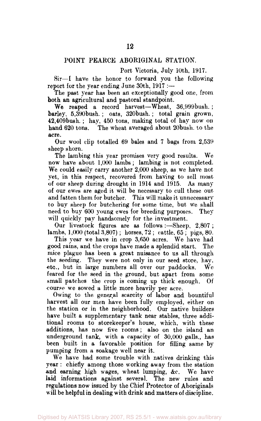#### POINT PEARCE ABORIGINAL STATION.

Port Victoria, July 10th, 1917.

Sir—I have the honor to forward you the following report for the year ending June 30th, 1917 :—

The past year has been an exceptionally good one, from both an agricultural and pastoral standpoint.

We reaped a record harvest—Wheat, 36,999bush. ; barley, 5,390bush. ; oats, 320bush.; total grain grown, 42,409bush. ; hay, 450 tons, making total of hay now on hand 620 tons. The wheat averaged about 20bush. to the acre.

Our wool clip totalled 69 bales and 7 bags from 2,539 sheep shorn.

The lambing this year promises very good results. We now have about 1,000 lambs; lambing is not completed. We could easily carry another 2,000 sheep, as we have not yet, in this respect, recovered from having to sell most of our sheep during drought in 1914 and 1915. As many of our ewes are aged it will be necessary to cull these out and fatten them for butcher. This will make it unnecessary to buy sheep for butchering for some time, but we shall need to buy 600 young ewes for breeding purposes. They will quickly pay handsomely for the investment.

Our livestock figures are as follows :—Sheep, 2,807 ; lambs, 1,000 (total 3,807) ; horses, 72 ; cattle, 65 ; pigs, 80.

This year we have in crop 3,650 acres. We have had good rains, and the crops have made a splendid start. The mice plague has been a great nuisance to us all through the seeding. They were not only in our seed store, hay, etc., but in large numbers all over our paddocks. We feared for the seed in the ground, but apart from some small patches the crop is coming up thick enough. Of course we sowed a little more heavily per acre.

Owing to the general scarcity of labor and bountiful harvest all our men have been fully employed, either on the station or in the neighborhood. Our native builders have built a supplementary tank near stables, three additional rooms to storekeeper's house, which, with these additions, has now five rooms; also on the island an underground tank, with a capacity of 30,000 galls., has been built in a favorable position for filling same by pumping from a soakage well near it.

We have had some trouble with natives drinking this year : chiefly among those working away from the station and earning high wages, wheat lumping, &c. We have laid informations against several. The new rules and regulations now issued by the Chief Protector of Aboriginals will be helpful in dealing with drink and matters of discipline.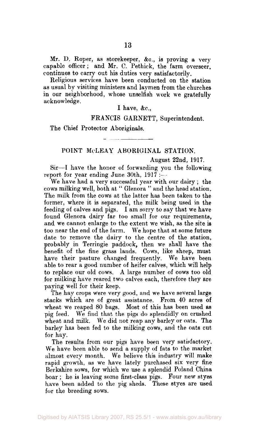Mr. D. Roper, as storekeeper, &c, is proving a very capable officer; and Mr. C. Pethick, the farm overseer, continues to carry out his duties very satisfactorily.

Religious services have been conducted on the station as usual by visiting ministers and laymen from the churches in our neighborhood, whose unselfish work we gratefully acknowledge.

#### I have,  $&c$ .,

FRANCIS GARNETT, Superintendent.

The Chief Protector Aboriginals.

#### POINT McLEAY ABORIGINAL STATION.

#### August 22nd, 1917.

Sir—I have the honor of forwarding you the following report for year ending June 30th, 1917 :—

We have had a very successful year with our dairy ; the cows milking well, both at " Glenora " and the head station. The milk from the cows at the latter has been taken to the former, where it is separated, the milk being used in the feeding of calves and pigs. I am sorry to say that we have found Glenora dairy far too small for our requirements, and we cannot enlarge to the extent we wish, as the site is too near the end of the farm. We hope that at some future date to remove the dairy to the centre of the station, probably in Terringie paddock, then we shall have the benefit of the fine grass lands. Cows, like sheep, must have their pasture changed frequently. We have been able to rear a good number of heifer calves, which will help to replace our old cows. A large number of cows too old for milking have reared two calves each, therefore they are paying well for their keep.

The hay crops were very good, and we have several large stacks which are of great assistance. From 40 acres of wheat we reaped 80 bags. Most of this has been used as pig feed. We find that the pigs do splendidly on crushed wheat and milk. We did not reap any barley or oats. The barley has been fed to the milking cows, and the oats cut for hay.

The results from our pigs have been very satisfactory. We have been able to send a supply of fats to the market almost every month. We believe this industry will make rapid growth, as we have lately purchased six very fine Berkshire sows, for which we use a splendid Poland China boar ; he is leaving some first-class pigs. Four new styes have been added to the pig sheds. These styes are used for the breeding sows.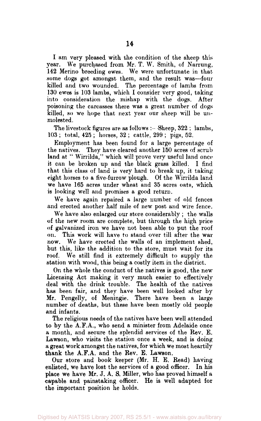I am very pleased with the condition of the sheep this year. We purchased from Mr. T. W. Smith, of Narrung, 142 Merino breeding ewes. We were unfortunate in that some dogs got amongst them, and the result was—four killed and two wounded. The percentage of lambs from 130 ewes is 103 lambs, which I consider very good, taking into consideration the mishap with the dogs. After poisoning the carcasses there was a great number of dogs killed, so we hope that next year our sheep will be unmolested.

The livestock figures are as follows :— Sheep, 322 ; lambs, 103 ; total, 425 ; horses, 32 ; cattle, 299 ; pigs, 52.

Employment has been found for a large percentage of the natives. They have cleared another 150 acres of scrub land at " Wirrilda," which will prove very useful land once it can be broken up and the black grass killed. I find that this class of land is very hard to break up, it taking eight horses to a five-furrow plough. Of the Wirrilda land we have 165 acres under wheat and 35 acres oats, which is looking well and promises a good return.

We have again repaired a large number of old fences and erected another half mile of new post and wire fence.

We have also enlarged our store considerably ; the walls of the new room are complete, but through the high price of galvanized iron we have not been able to put the roof on. This work will have to stand over till after the war now. We have erected the walls of an implement shed, but this, like the addition to the store, must wait for its roof. We still find it extremely difficult to supply the station with wood, this being a costly item in the district.

On the whole the conduct of the natives is good, the new Licensing Act making it very much easier to effectively deal with the drink trouble. The health of the natives has been fair, and they have been well looked after by Mr. Pengelly, of Meningie. There have been a large number of deaths, but these have been mostly old people and infants.

The religious needs of the natives have been well attended to by the A.F.A., who send a minister from Adelaide once a month, and secure the splendid services of the Rev. E. Lawson, who visits the station once a week, and is doing a great work amongst the natives, for which we most heartily **thank** the **A.F.A.** and the Rev. **E.** Lawson.

Our store and book keeper (Mr. H. E. Read) having enlisted, we have lost the services of a good officer. In his place we have Mr. J. A. S. Miller, who has proved himself a capable and painstaking officer. He is well adapted for the important position he holds.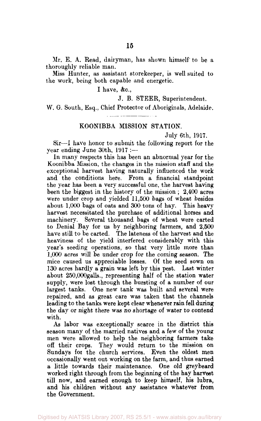Mr. E. A. Read, dairyman, has shown himself' to be a thoroughly reliable man.

Miss Hunter, as assistant storekeeper, is well suited to the work, being both capable and energetic.

I have, &c.,

J. B. STEER, Superintendent,

W. 6. South, Esq., Chief Protector of Aboriginals, Adelaide.

#### KOONIBBA MISSION STATION.

July 6th, 1917.

Sir—1 have honor to submit the following report for the year ending June 30th, 1917 :—

In many respects this has been an abnormal year for the Koonibba Mission, the changes in the mission staff and the exceptional harvest having naturally influenced the work and the conditions here. From a financial standpoint the year has been a very successful one, the harvest having been the biggest in the history of the mission ; 2,400 acres were under crop and yielded 11,500 bags of wheat besides about 1,000 bags of oats and 300 tons of hay. This heavy harvest necessitated the purchase of additional horses and machinery. Several thousand bags of wheat were carted to Denial Bay for us by neighboring farmers, and 2,500 have still to be carted. The lateness of the harvest and the heaviness of the yield interfered considerably with this year's seeding operations, so that very little more than 1,000 acres will be under crop for the coming season. The mice caused us appreciable losses. Of the seed sown on 130 acres hardly a grain was left by this pest. Last winter about 250,000galls., representing half of the station water supply, were lost through the bursting of a number of our largest tanks. One new tank was built and several were repaired, and as great care was taken that the channels leading to the tanks were kept clear whenever rain fell during the day or night there was no shortage of water to contend with.

As labor was exceptionally scarce in the district this season many of the married natives and a few of the young men were allowed to help the neighboring farmers take off their crops. They would return to the mission on Sundays for the church services. Even the oldest men occasionally went out working on the farm, and thus earned a little towards their maintenance. One old greybeard worked right through from the beginning of the hay harvest till now, and earned enough to keep himself, his lubra, and his children without any assistance whatever **from**  the Government.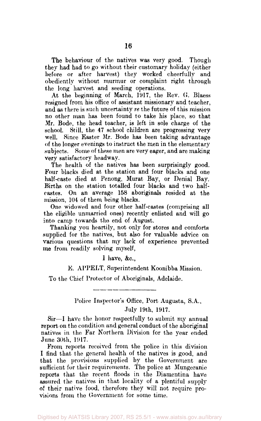The behaviour of the natives was very good. Though they had had to go without their customary holiday (either before or after harvest) they worked cheerfully and obediently without murmur or complaint right through the long harvest and seeding operations.

At the beginning of March, 1917, the Rev. G. Blaess resigned from his office of assistant missionary and teacher, and as there is such uncertainty *re* the future of this mission no other man has been found to take his place, so that Mr. Bode, the head teacher, is left in sole charge of the school. Still, the 47 school children are progressing very well. Since Easter Mr. Bode has been taking advantage of the longer evenings to instruct the men in the elementary subjects. Some of these men are very eager, and are making very satisfactory headway.

The health of the natives has been surprisingly good. Four blacks died at the station and four blacks and one half-caste died at Penong, Murat Bay, or Denial Bay. Births on the station totalled four blacks and two halfcastes. On an average 158 aboriginals resided at the mission, 104 of them being blacks.

One widowed and four other half-castes (comprising all the eligible unmarried ones) recently enlisted and will go into camp towards the end of August.

Thanking you heartily, not only for stores and comforts supplied for the natives, but also for valuable advice on various questions that my lack of experience prevented me from readily solving myself,

#### I have, &c.,

#### E. APPELT, Superintendent Koonibba Mission.

To the Chief Protector of Aboriginals, Adelaide.

Police Inspector's Office, Port Augusta, S.A., July 19th, 1917.

Sir—I have the honor respectfully to submit my annual report on the condition and general conduct of the aboriginal natives in the Far Northern Division for the year ended June 30th, 1917.

From reports received from the police in this division I find that the general health of the natives is good, and that the provisions supplied by the Government are sufficient for their requirements. The police at Mungeranie reports that the recent floods in the Diamentina have assured the natives in that locality of a plentiful supply of their native food, therefore they will not require provisions from the Government for some time.